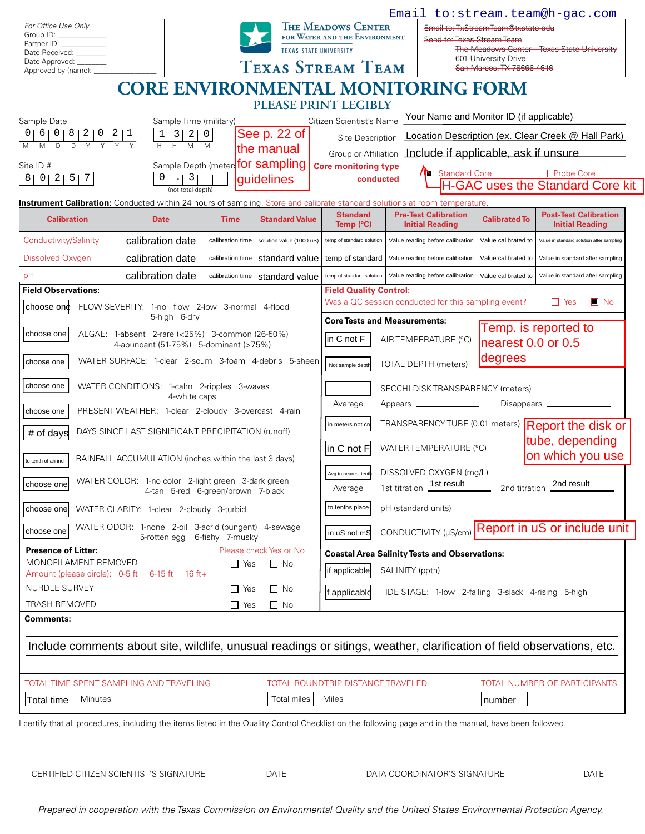|                                                                                                                                                                         |                                                                                         |                          |                                                                                             |                                                                                                                      | Email to: stream.team@h-gac.com                                                                                        |                                                                           |                                                       |  |
|-------------------------------------------------------------------------------------------------------------------------------------------------------------------------|-----------------------------------------------------------------------------------------|--------------------------|---------------------------------------------------------------------------------------------|----------------------------------------------------------------------------------------------------------------------|------------------------------------------------------------------------------------------------------------------------|---------------------------------------------------------------------------|-------------------------------------------------------|--|
| For Office Use Only                                                                                                                                                     |                                                                                         |                          | <b>THE MEADOWS CENTER</b>                                                                   |                                                                                                                      |                                                                                                                        | Email to: TxStreamTeam@txstate.edu                                        |                                                       |  |
| Group ID:<br>Partner ID: <b>Example 20</b>                                                                                                                              |                                                                                         |                          | FOR WATER AND THE ENVIRONMENT<br><b>TEXAS STATE UNIVERSITY</b>                              |                                                                                                                      |                                                                                                                        | Send to: Texas Stream Team<br>The Meadows Center - Texas State University |                                                       |  |
| Date Received:<br>Date Approved:                                                                                                                                        |                                                                                         | <b>TEXAS STREAM TEAM</b> |                                                                                             |                                                                                                                      | <b>601 University Drive</b><br>San Marcos, TX 78666-4616                                                               |                                                                           |                                                       |  |
| Approved by (name):                                                                                                                                                     |                                                                                         |                          |                                                                                             |                                                                                                                      |                                                                                                                        |                                                                           |                                                       |  |
|                                                                                                                                                                         |                                                                                         |                          |                                                                                             |                                                                                                                      | <b>CORE ENVIRONMENTAL MONITORING FORM</b>                                                                              |                                                                           |                                                       |  |
| PLEASE PRINT LEGIBLY<br>Your Name and Monitor ID (if applicable)                                                                                                        |                                                                                         |                          |                                                                                             |                                                                                                                      |                                                                                                                        |                                                                           |                                                       |  |
| Sample Date<br>Sample Time (military)<br>See p. 22 of<br>$6 \mid$<br>$\begin{array}{c c c c} 3 & 2 & 0 \\ \hline H & M & M \end{array}$<br>$\overline{D}$<br>the manual |                                                                                         |                          |                                                                                             | Citizen Scientist's Name<br>Location Description (ex. Clear Creek @ Hall Park)                                       |                                                                                                                        |                                                                           |                                                       |  |
|                                                                                                                                                                         |                                                                                         |                          | Site Description                                                                            |                                                                                                                      |                                                                                                                        |                                                                           |                                                       |  |
| Site ID #                                                                                                                                                               | Sample Depth (meter for sampling                                                        |                          | Include if applicable, ask if unsure<br>Group or Affiliation<br><b>Core monitoring type</b> |                                                                                                                      |                                                                                                                        |                                                                           |                                                       |  |
| 0 2 5 7<br>8 <br>$\lfloor$ 3                                                                                                                                            |                                                                                         |                          | guidelines                                                                                  | conducted                                                                                                            | Standard Core                                                                                                          |                                                                           | Probe Core<br><b>H-GAC uses the Standard Core kit</b> |  |
| (not total depth)<br><b>Instrument Calibration:</b> Conducted within 24 hours of sampling. Store and calibrate standard solutions at room temperature                   |                                                                                         |                          |                                                                                             |                                                                                                                      |                                                                                                                        |                                                                           |                                                       |  |
| <b>Calibration</b>                                                                                                                                                      | <b>Date</b>                                                                             | <b>Time</b>              | <b>Standard Value</b>                                                                       | <b>Standard</b>                                                                                                      | <b>Pre-Test Calibration</b>                                                                                            | <b>Calibrated To</b>                                                      | <b>Post-Test Calibration</b>                          |  |
|                                                                                                                                                                         |                                                                                         |                          |                                                                                             | Temp (°C)                                                                                                            | <b>Initial Reading</b>                                                                                                 |                                                                           | <b>Initial Reading</b>                                |  |
| Conductivity/Salinity                                                                                                                                                   | calibration date                                                                        | calibration time         | solution value (1000 uS)                                                                    | temp of standard solution                                                                                            | Value reading before calibration                                                                                       | Value calibrated to                                                       | Value in standard solution after sampling             |  |
| Dissolved Oxygen                                                                                                                                                        | calibration date                                                                        | calibration time         | standard value                                                                              | temp of standard                                                                                                     | Value reading before calibration                                                                                       | Value calibrated to                                                       | Value in standard after sampling                      |  |
| pH                                                                                                                                                                      | calibration date                                                                        | calibration time         | standard value                                                                              | temp of standard solution                                                                                            | Value reading before calibration                                                                                       | Value calibrated to                                                       | Value in standard after sampling                      |  |
| <b>Field Observations:</b>                                                                                                                                              |                                                                                         |                          |                                                                                             | <b>Field Quality Control:</b><br>Was a QC session conducted for this sampling event?<br>$\blacksquare$ No<br>I I Yes |                                                                                                                        |                                                                           |                                                       |  |
| choose one                                                                                                                                                              | FLOW SEVERITY: 1-no flow 2-low 3-normal 4-flood<br>5-high 6-dry                         |                          | <b>Core Tests and Measurements:</b>                                                         |                                                                                                                      |                                                                                                                        |                                                                           |                                                       |  |
| ALGAE: 1-absent 2-rare (<25%) 3-common (26-50%)<br>choose one                                                                                                           |                                                                                         |                          |                                                                                             | in C not F                                                                                                           | AIR TEMPERATURE (°C)                                                                                                   |                                                                           | Temp. is reported to                                  |  |
| 4-abundant (51-75%) 5-dominant (>75%)                                                                                                                                   |                                                                                         |                          |                                                                                             |                                                                                                                      |                                                                                                                        | nearest 0.0 or 0.5                                                        |                                                       |  |
| choose one                                                                                                                                                              | WATER SURFACE: 1-clear 2-scum 3-foam 4-debris 5-sheen                                   |                          | degrees<br><b>TOTAL DEPTH (meters)</b><br>Not sample depth                                  |                                                                                                                      |                                                                                                                        |                                                                           |                                                       |  |
| choose one                                                                                                                                                              | WATER CONDITIONS: 1-calm 2-ripples 3-waves                                              |                          |                                                                                             | SECCHI DISK TRANSPARENCY (meters)                                                                                    |                                                                                                                        |                                                                           |                                                       |  |
| 4-white caps                                                                                                                                                            |                                                                                         |                          | Average                                                                                     | Appears _______________                                                                                              |                                                                                                                        |                                                                           |                                                       |  |
| choose one                                                                                                                                                              | PRESENT WEATHER: 1-clear 2-cloudy 3-overcast 4-rain                                     |                          | in meters not cn                                                                            |                                                                                                                      |                                                                                                                        | TRANSPARENCYTUBE (0.01 meters) Report the disk or                         |                                                       |  |
| # of days                                                                                                                                                               | DAYS SINCE LAST SIGNIFICANT PRECIPITATION (runoff)                                      |                          |                                                                                             |                                                                                                                      |                                                                                                                        | tube, depending                                                           |                                                       |  |
| RAINFALL ACCUMULATION (inches within the last 3 days)                                                                                                                   |                                                                                         |                          |                                                                                             | WATER TEMPERATURE (°C)<br>$ $ in C not F $ $<br>on which you use                                                     |                                                                                                                        |                                                                           |                                                       |  |
| to tenth of an inch                                                                                                                                                     |                                                                                         |                          | DISSOLVED OXYGEN (mg/L)<br>Avg to nearest tenth                                             |                                                                                                                      |                                                                                                                        |                                                                           |                                                       |  |
| choose one                                                                                                                                                              | WATER COLOR: 1-no color 2-light green 3-dark green<br>4-tan 5-red 6-green/brown 7-black |                          | 1st titration 1st result<br>2nd titration 2nd result<br>Average                             |                                                                                                                      |                                                                                                                        |                                                                           |                                                       |  |
| choose one<br>WATER CLARITY: 1-clear 2-cloudy 3-turbid                                                                                                                  |                                                                                         |                          | to tenths place<br>pH (standard units)                                                      |                                                                                                                      |                                                                                                                        |                                                                           |                                                       |  |
|                                                                                                                                                                         | WATER ODOR: 1-none 2-oil 3-acrid (pungent) 4-sewage                                     |                          |                                                                                             |                                                                                                                      |                                                                                                                        | Report in uS or include unit                                              |                                                       |  |
| choose one                                                                                                                                                              | 6-fishy 7-musky<br>5-rotten egg                                                         |                          | in uS not mS                                                                                | CONDUCTIVITY (µS/cm)                                                                                                 |                                                                                                                        |                                                                           |                                                       |  |
| <b>Presence of Litter:</b><br>MONOFILAMENT REMOVED                                                                                                                      |                                                                                         | Please check Yes or No   | <b>Coastal Area Salinity Tests and Observations:</b>                                        |                                                                                                                      |                                                                                                                        |                                                                           |                                                       |  |
| Amount (please circle): $0-5$ ft $6-15$ ft 16 ft +                                                                                                                      |                                                                                         | $\Box$ Yes               | $\Box$ No                                                                                   | if applicable                                                                                                        | SALINITY (ppth)                                                                                                        |                                                                           |                                                       |  |
| NURDLE SURVEY<br>$\Box$ Yes                                                                                                                                             |                                                                                         |                          | $\Box$ No                                                                                   | if applicable<br>TIDE STAGE: 1-low 2-falling 3-slack 4-rising 5-high                                                 |                                                                                                                        |                                                                           |                                                       |  |
| <b>TRASH REMOVED</b>                                                                                                                                                    |                                                                                         | $\Box$ No<br>$\Box$ Yes  |                                                                                             |                                                                                                                      |                                                                                                                        |                                                                           |                                                       |  |
| <b>Comments:</b>                                                                                                                                                        |                                                                                         |                          |                                                                                             |                                                                                                                      |                                                                                                                        |                                                                           |                                                       |  |
|                                                                                                                                                                         |                                                                                         |                          |                                                                                             |                                                                                                                      | Include comments about site, wildlife, unusual readings or sitings, weather, clarification of field observations, etc. |                                                                           |                                                       |  |
|                                                                                                                                                                         |                                                                                         |                          |                                                                                             |                                                                                                                      |                                                                                                                        |                                                                           |                                                       |  |
| TOTAL TIME SPENT SAMPLING AND TRAVELING                                                                                                                                 |                                                                                         |                          | TOTAL ROUNDTRIP DISTANCE TRAVELED<br>TOTAL NUMBER OF PARTICIPANTS                           |                                                                                                                      |                                                                                                                        |                                                                           |                                                       |  |
| Minutes<br><b>Total time</b>                                                                                                                                            |                                                                                         |                          | <b>Total miles</b>                                                                          | Miles                                                                                                                |                                                                                                                        | number                                                                    |                                                       |  |
| I certify that all procedures, including the items listed in the Quality Control Checklist on the following page and in the manual, have been followed.                 |                                                                                         |                          |                                                                                             |                                                                                                                      |                                                                                                                        |                                                                           |                                                       |  |
|                                                                                                                                                                         |                                                                                         |                          |                                                                                             |                                                                                                                      |                                                                                                                        |                                                                           |                                                       |  |
|                                                                                                                                                                         |                                                                                         |                          |                                                                                             |                                                                                                                      |                                                                                                                        |                                                                           |                                                       |  |

CERTIFIED CITIZEN SCIENTIST'S SIGNATURE DATE DATE DATE DATA COORDINATOR'S SIGNATURE DATE

*Prepared in cooperation with the Texas Commission on Environmental Quality and the United States Environmental Protection Agency.*